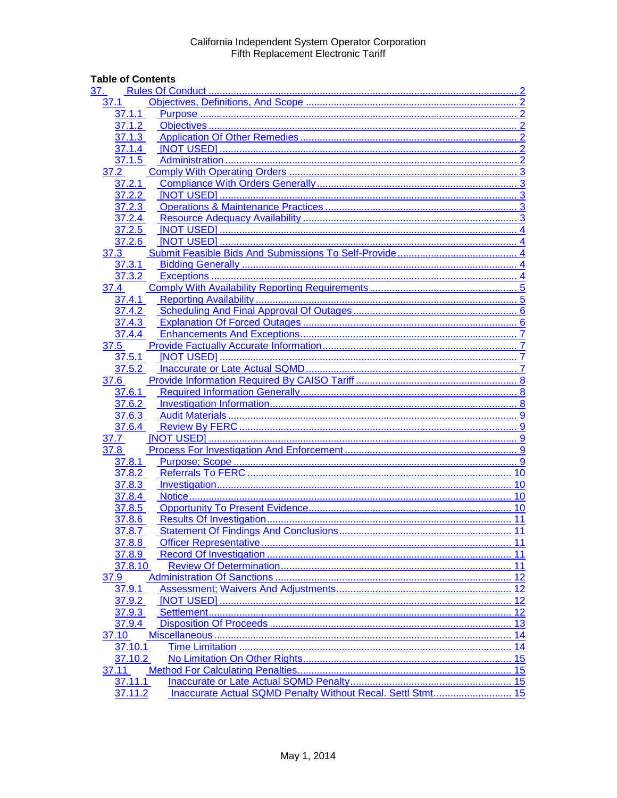# **Table of Contents**

| 37.              |    |
|------------------|----|
| 37.1             |    |
| 37.1.1           |    |
| 37.1.2           |    |
| 37.1.3           |    |
| 37.1.4           |    |
| 37.1.5           |    |
| 37.2             |    |
| 37.2.1           |    |
| 37.2.2           |    |
| 37.2.3           |    |
| 37.2.4           |    |
| 37.2.5           |    |
| 37.2.6           |    |
| 37.3             |    |
| 37.3.1           |    |
| 37.3.2           |    |
| 37.4             |    |
| 37.4.1           |    |
|                  |    |
|                  |    |
| 37.4.4           |    |
|                  |    |
| 37.5<br>37.5.1   |    |
| 37.5.2           |    |
|                  |    |
| 37.6             |    |
| 37.6.1<br>37.6.2 |    |
| 37.6.3           |    |
|                  |    |
| 37.6.4<br>37.7   |    |
| 37.8             |    |
|                  |    |
| 37.8.1<br>37.8.2 |    |
|                  |    |
| 37.8.3           |    |
| 37.8.4           |    |
| 37.8.5           |    |
| 37.8.6           |    |
| 37.8.7           |    |
| 37.8.8           |    |
| 37.8.9           |    |
| 37.8.10          |    |
| 37.9             |    |
| 37.9.1           | 12 |
| 37.9.2           | 12 |
| 37.9.3           |    |
| 37.9.4           |    |
| 37.10            |    |
| 37.10.1          |    |
| 37.10.2          |    |
| 37.11            |    |
| 37.11.1          |    |
| 37.11.2          |    |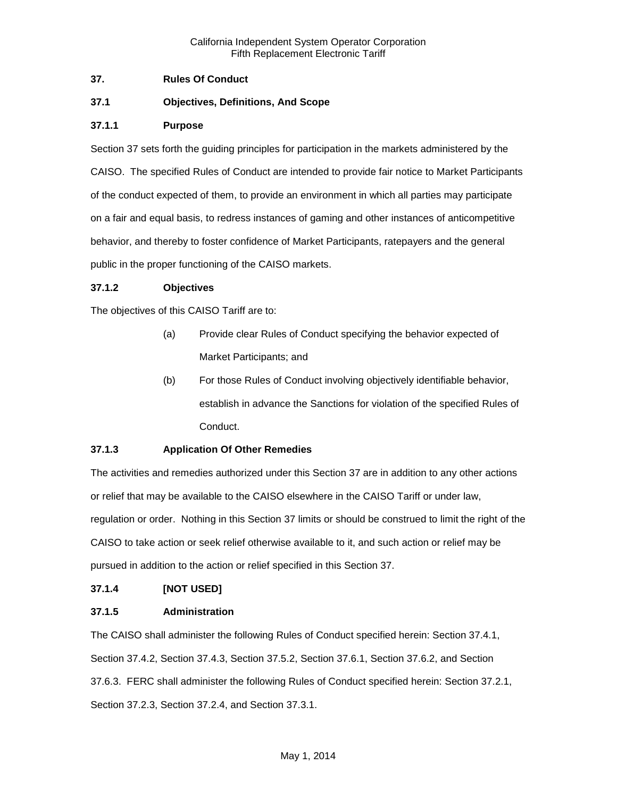## <span id="page-1-0"></span>**37. Rules Of Conduct**

## <span id="page-1-1"></span>**37.1 Objectives, Definitions, And Scope**

#### <span id="page-1-2"></span>**37.1.1 Purpose**

Section 37 sets forth the guiding principles for participation in the markets administered by the CAISO. The specified Rules of Conduct are intended to provide fair notice to Market Participants of the conduct expected of them, to provide an environment in which all parties may participate on a fair and equal basis, to redress instances of gaming and other instances of anticompetitive behavior, and thereby to foster confidence of Market Participants, ratepayers and the general public in the proper functioning of the CAISO markets.

#### <span id="page-1-3"></span>**37.1.2 Objectives**

The objectives of this CAISO Tariff are to:

- (a) Provide clear Rules of Conduct specifying the behavior expected of Market Participants; and
- (b) For those Rules of Conduct involving objectively identifiable behavior, establish in advance the Sanctions for violation of the specified Rules of Conduct.

# <span id="page-1-4"></span>**37.1.3 Application Of Other Remedies**

The activities and remedies authorized under this Section 37 are in addition to any other actions or relief that may be available to the CAISO elsewhere in the CAISO Tariff or under law, regulation or order. Nothing in this Section 37 limits or should be construed to limit the right of the CAISO to take action or seek relief otherwise available to it, and such action or relief may be pursued in addition to the action or relief specified in this Section 37.

#### <span id="page-1-5"></span>**37.1.4 [NOT USED]**

#### <span id="page-1-6"></span>**37.1.5 Administration**

The CAISO shall administer the following Rules of Conduct specified herein: Section 37.4.1, Section 37.4.2, Section 37.4.3, Section 37.5.2, Section 37.6.1, Section 37.6.2, and Section 37.6.3. FERC shall administer the following Rules of Conduct specified herein: Section 37.2.1, Section 37.2.3, Section 37.2.4, and Section 37.3.1.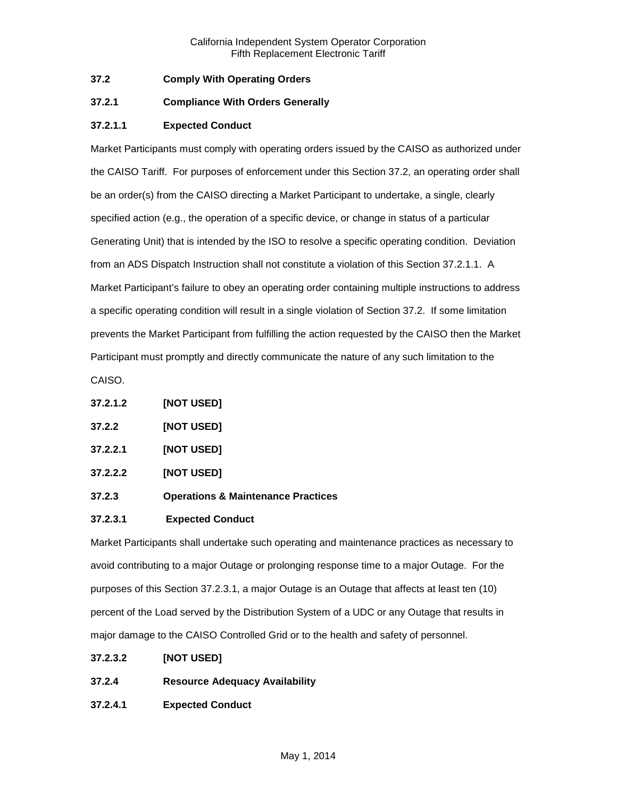## <span id="page-2-0"></span>**37.2 Comply With Operating Orders**

## <span id="page-2-1"></span>**37.2.1 Compliance With Orders Generally**

#### **37.2.1.1 Expected Conduct**

Market Participants must comply with operating orders issued by the CAISO as authorized under the CAISO Tariff. For purposes of enforcement under this Section 37.2, an operating order shall be an order(s) from the CAISO directing a Market Participant to undertake, a single, clearly specified action (e.g., the operation of a specific device, or change in status of a particular Generating Unit) that is intended by the ISO to resolve a specific operating condition. Deviation from an ADS Dispatch Instruction shall not constitute a violation of this Section 37.2.1.1. A Market Participant's failure to obey an operating order containing multiple instructions to address a specific operating condition will result in a single violation of Section 37.2. If some limitation prevents the Market Participant from fulfilling the action requested by the CAISO then the Market Participant must promptly and directly communicate the nature of any such limitation to the

CAISO.

- <span id="page-2-2"></span>**37.2.2 [NOT USED]**
- **37.2.2.1 [NOT USED]**
- **37.2.2.2 [NOT USED]**
- <span id="page-2-3"></span>**37.2.3 Operations & Maintenance Practices**

#### **37.2.3.1 Expected Conduct**

Market Participants shall undertake such operating and maintenance practices as necessary to avoid contributing to a major Outage or prolonging response time to a major Outage. For the purposes of this Section 37.2.3.1, a major Outage is an Outage that affects at least ten (10) percent of the Load served by the Distribution System of a UDC or any Outage that results in major damage to the CAISO Controlled Grid or to the health and safety of personnel.

- **37.2.3.2 [NOT USED]**
- <span id="page-2-4"></span>**37.2.4 Resource Adequacy Availability**
- **37.2.4.1 Expected Conduct**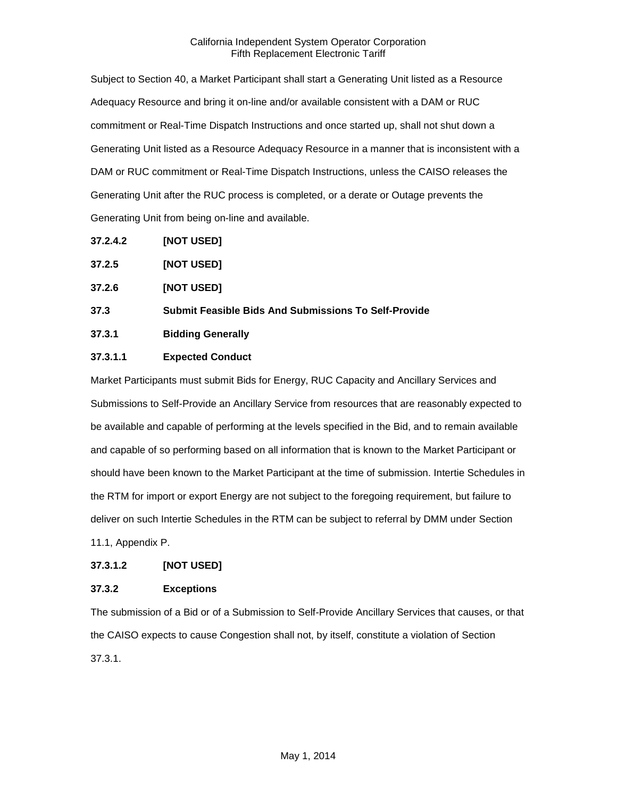Subject to Section 40, a Market Participant shall start a Generating Unit listed as a Resource Adequacy Resource and bring it on-line and/or available consistent with a DAM or RUC commitment or Real-Time Dispatch Instructions and once started up, shall not shut down a Generating Unit listed as a Resource Adequacy Resource in a manner that is inconsistent with a DAM or RUC commitment or Real-Time Dispatch Instructions, unless the CAISO releases the Generating Unit after the RUC process is completed, or a derate or Outage prevents the Generating Unit from being on-line and available.

**37.2.4.2 [NOT USED]**

<span id="page-3-0"></span>

| 37.2.5 | [NOT USED] |
|--------|------------|
|--------|------------|

<span id="page-3-1"></span>**37.2.6 [NOT USED]**

<span id="page-3-2"></span>**37.3 Submit Feasible Bids And Submissions To Self-Provide**

<span id="page-3-3"></span>**37.3.1 Bidding Generally**

# **37.3.1.1 Expected Conduct**

Market Participants must submit Bids for Energy, RUC Capacity and Ancillary Services and Submissions to Self-Provide an Ancillary Service from resources that are reasonably expected to be available and capable of performing at the levels specified in the Bid, and to remain available and capable of so performing based on all information that is known to the Market Participant or should have been known to the Market Participant at the time of submission. Intertie Schedules in the RTM for import or export Energy are not subject to the foregoing requirement, but failure to deliver on such Intertie Schedules in the RTM can be subject to referral by DMM under Section 11.1, Appendix P.

#### **37.3.1.2 [NOT USED]**

# <span id="page-3-4"></span>**37.3.2 Exceptions**

The submission of a Bid or of a Submission to Self-Provide Ancillary Services that causes, or that the CAISO expects to cause Congestion shall not, by itself, constitute a violation of Section 37.3.1.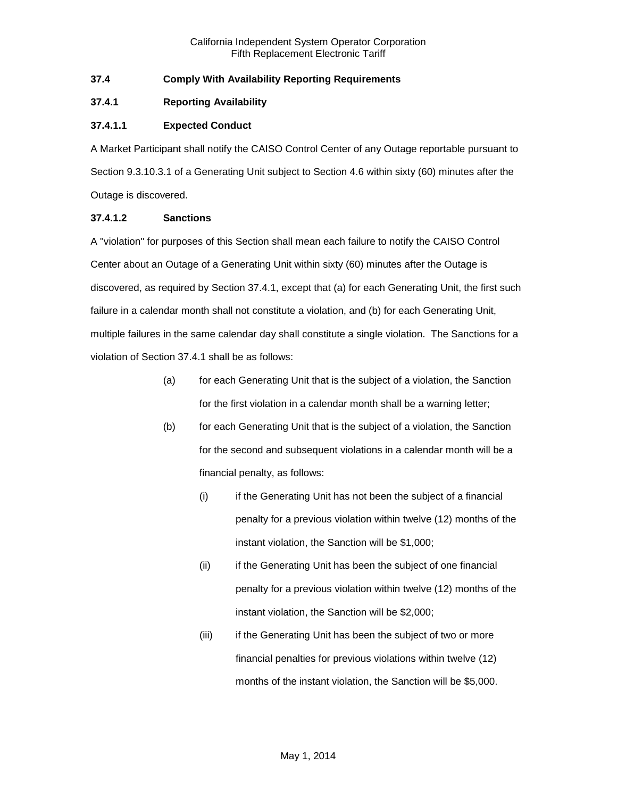## <span id="page-4-0"></span>**37.4 Comply With Availability Reporting Requirements**

#### <span id="page-4-1"></span>**37.4.1 Reporting Availability**

## **37.4.1.1 Expected Conduct**

A Market Participant shall notify the CAISO Control Center of any Outage reportable pursuant to Section 9.3.10.3.1 of a Generating Unit subject to Section 4.6 within sixty (60) minutes after the Outage is discovered.

#### **37.4.1.2 Sanctions**

A "violation" for purposes of this Section shall mean each failure to notify the CAISO Control Center about an Outage of a Generating Unit within sixty (60) minutes after the Outage is discovered, as required by Section 37.4.1, except that (a) for each Generating Unit, the first such failure in a calendar month shall not constitute a violation, and (b) for each Generating Unit, multiple failures in the same calendar day shall constitute a single violation. The Sanctions for a violation of Section 37.4.1 shall be as follows:

- (a) for each Generating Unit that is the subject of a violation, the Sanction for the first violation in a calendar month shall be a warning letter;
- (b) for each Generating Unit that is the subject of a violation, the Sanction for the second and subsequent violations in a calendar month will be a financial penalty, as follows:
	- (i) if the Generating Unit has not been the subject of a financial penalty for a previous violation within twelve (12) months of the instant violation, the Sanction will be \$1,000;
	- (ii) if the Generating Unit has been the subject of one financial penalty for a previous violation within twelve (12) months of the instant violation, the Sanction will be \$2,000;
	- (iii) if the Generating Unit has been the subject of two or more financial penalties for previous violations within twelve (12) months of the instant violation, the Sanction will be \$5,000.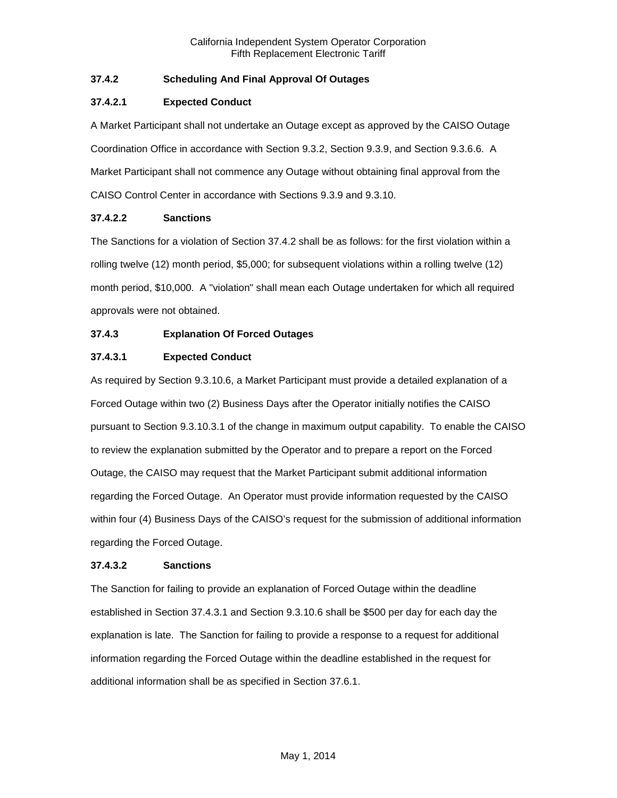# <span id="page-5-0"></span>**37.4.2 Scheduling And Final Approval Of Outages**

# **37.4.2.1 Expected Conduct**

A Market Participant shall not undertake an Outage except as approved by the CAISO Outage Coordination Office in accordance with Section 9.3.2, Section 9.3.9, and Section 9.3.6.6. A Market Participant shall not commence any Outage without obtaining final approval from the CAISO Control Center in accordance with Sections 9.3.9 and 9.3.10.

## **37.4.2.2 Sanctions**

The Sanctions for a violation of Section 37.4.2 shall be as follows: for the first violation within a rolling twelve (12) month period, \$5,000; for subsequent violations within a rolling twelve (12) month period, \$10,000. A "violation" shall mean each Outage undertaken for which all required approvals were not obtained.

# <span id="page-5-1"></span>**37.4.3 Explanation Of Forced Outages**

# **37.4.3.1 Expected Conduct**

As required by Section 9.3.10.6, a Market Participant must provide a detailed explanation of a Forced Outage within two (2) Business Days after the Operator initially notifies the CAISO pursuant to Section 9.3.10.3.1 of the change in maximum output capability. To enable the CAISO to review the explanation submitted by the Operator and to prepare a report on the Forced Outage, the CAISO may request that the Market Participant submit additional information regarding the Forced Outage. An Operator must provide information requested by the CAISO within four (4) Business Days of the CAISO's request for the submission of additional information regarding the Forced Outage.

#### **37.4.3.2 Sanctions**

The Sanction for failing to provide an explanation of Forced Outage within the deadline established in Section 37.4.3.1 and Section 9.3.10.6 shall be \$500 per day for each day the explanation is late. The Sanction for failing to provide a response to a request for additional information regarding the Forced Outage within the deadline established in the request for additional information shall be as specified in Section 37.6.1.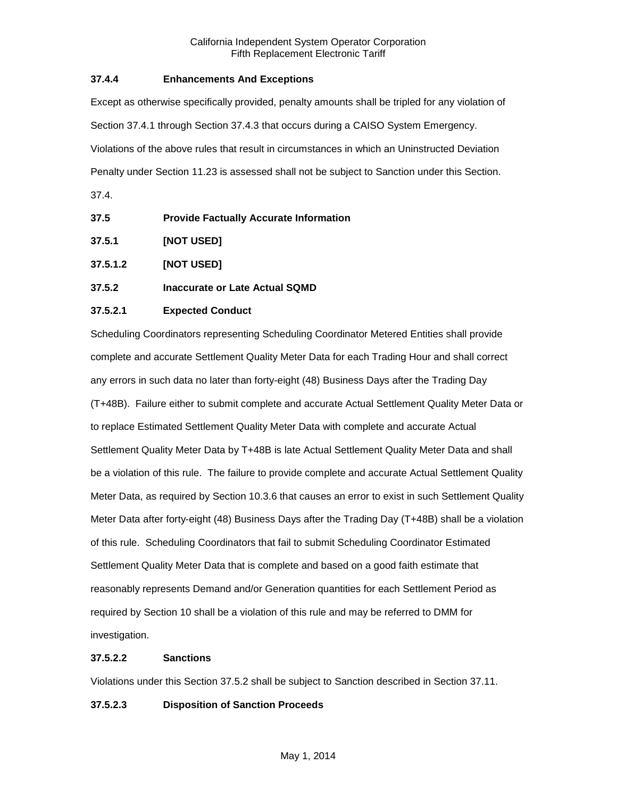## <span id="page-6-0"></span>**37.4.4 Enhancements And Exceptions**

Except as otherwise specifically provided, penalty amounts shall be tripled for any violation of Section 37.4.1 through Section 37.4.3 that occurs during a CAISO System Emergency. Violations of the above rules that result in circumstances in which an Uninstructed Deviation Penalty under Section 11.23 is assessed shall not be subject to Sanction under this Section.

37.4.

<span id="page-6-1"></span>

| 37.5 | <b>Provide Factually Accurate Information</b> |  |
|------|-----------------------------------------------|--|
|      |                                               |  |

- <span id="page-6-2"></span>**37.5.1 [NOT USED]**
- **37.5.1.2 [NOT USED]**
- <span id="page-6-3"></span>**37.5.2 Inaccurate or Late Actual SQMD**

## **37.5.2.1 Expected Conduct**

Scheduling Coordinators representing Scheduling Coordinator Metered Entities shall provide complete and accurate Settlement Quality Meter Data for each Trading Hour and shall correct any errors in such data no later than forty-eight (48) Business Days after the Trading Day (T+48B). Failure either to submit complete and accurate Actual Settlement Quality Meter Data or to replace Estimated Settlement Quality Meter Data with complete and accurate Actual Settlement Quality Meter Data by T+48B is late Actual Settlement Quality Meter Data and shall be a violation of this rule. The failure to provide complete and accurate Actual Settlement Quality Meter Data, as required by Section 10.3.6 that causes an error to exist in such Settlement Quality Meter Data after forty-eight (48) Business Days after the Trading Day (T+48B) shall be a violation of this rule. Scheduling Coordinators that fail to submit Scheduling Coordinator Estimated Settlement Quality Meter Data that is complete and based on a good faith estimate that reasonably represents Demand and/or Generation quantities for each Settlement Period as required by Section 10 shall be a violation of this rule and may be referred to DMM for investigation.

#### **37.5.2.2 Sanctions**

Violations under this Section 37.5.2 shall be subject to Sanction described in Section 37.11.

# **37.5.2.3 Disposition of Sanction Proceeds**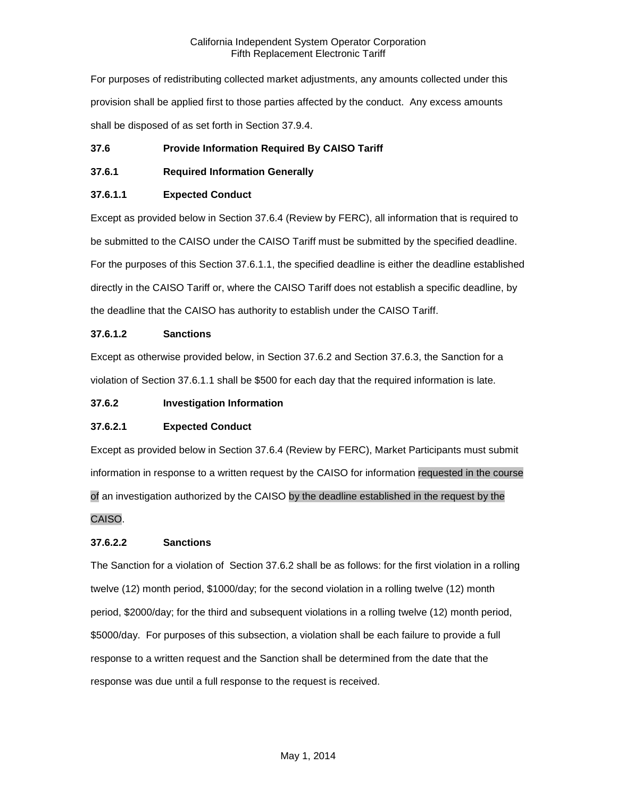For purposes of redistributing collected market adjustments, any amounts collected under this provision shall be applied first to those parties affected by the conduct. Any excess amounts shall be disposed of as set forth in Section 37.9.4.

# <span id="page-7-0"></span>**37.6 Provide Information Required By CAISO Tariff**

# <span id="page-7-1"></span>**37.6.1 Required Information Generally**

# **37.6.1.1 Expected Conduct**

Except as provided below in Section 37.6.4 (Review by FERC), all information that is required to be submitted to the CAISO under the CAISO Tariff must be submitted by the specified deadline. For the purposes of this Section 37.6.1.1, the specified deadline is either the deadline established directly in the CAISO Tariff or, where the CAISO Tariff does not establish a specific deadline, by the deadline that the CAISO has authority to establish under the CAISO Tariff.

# **37.6.1.2 Sanctions**

Except as otherwise provided below, in Section 37.6.2 and Section 37.6.3, the Sanction for a violation of Section 37.6.1.1 shall be \$500 for each day that the required information is late.

# <span id="page-7-2"></span>**37.6.2 Investigation Information**

# **37.6.2.1 Expected Conduct**

Except as provided below in Section 37.6.4 (Review by FERC), Market Participants must submit information in response to a written request by the CAISO for information requested in the course of an investigation authorized by the CAISO by the deadline established in the request by the CAISO.

# **37.6.2.2 Sanctions**

The Sanction for a violation of Section 37.6.2 shall be as follows: for the first violation in a rolling twelve (12) month period, \$1000/day; for the second violation in a rolling twelve (12) month period, \$2000/day; for the third and subsequent violations in a rolling twelve (12) month period, \$5000/day. For purposes of this subsection, a violation shall be each failure to provide a full response to a written request and the Sanction shall be determined from the date that the response was due until a full response to the request is received.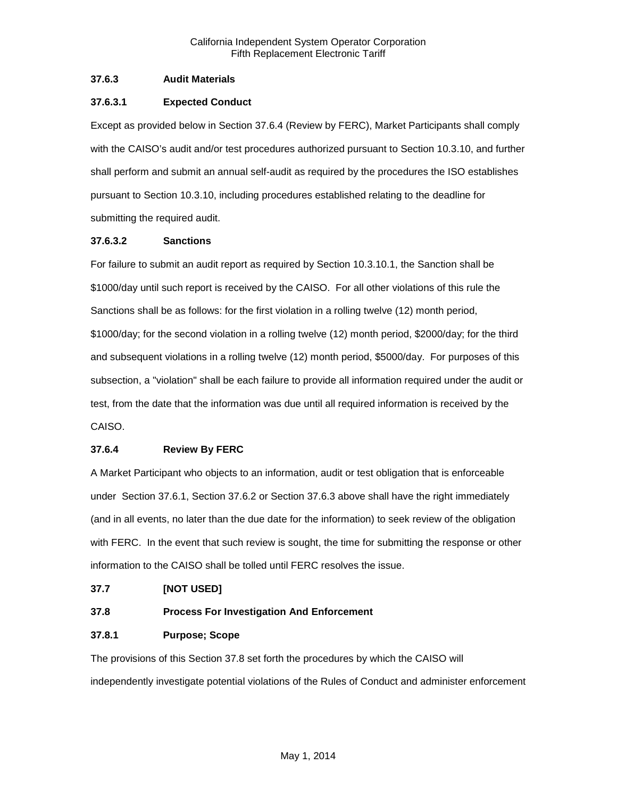## <span id="page-8-0"></span>**37.6.3 Audit Materials**

## **37.6.3.1 Expected Conduct**

Except as provided below in Section 37.6.4 (Review by FERC), Market Participants shall comply with the CAISO's audit and/or test procedures authorized pursuant to Section 10.3.10, and further shall perform and submit an annual self-audit as required by the procedures the ISO establishes pursuant to Section 10.3.10, including procedures established relating to the deadline for submitting the required audit.

## **37.6.3.2 Sanctions**

For failure to submit an audit report as required by Section 10.3.10.1, the Sanction shall be \$1000/day until such report is received by the CAISO. For all other violations of this rule the Sanctions shall be as follows: for the first violation in a rolling twelve (12) month period, \$1000/day; for the second violation in a rolling twelve (12) month period, \$2000/day; for the third and subsequent violations in a rolling twelve (12) month period, \$5000/day. For purposes of this subsection, a "violation" shall be each failure to provide all information required under the audit or test, from the date that the information was due until all required information is received by the CAISO.

#### <span id="page-8-1"></span>**37.6.4 Review By FERC**

A Market Participant who objects to an information, audit or test obligation that is enforceable under Section 37.6.1, Section 37.6.2 or Section 37.6.3 above shall have the right immediately (and in all events, no later than the due date for the information) to seek review of the obligation with FERC. In the event that such review is sought, the time for submitting the response or other information to the CAISO shall be tolled until FERC resolves the issue.

# <span id="page-8-2"></span>**37.7 [NOT USED]**

# <span id="page-8-3"></span>**37.8 Process For Investigation And Enforcement**

#### <span id="page-8-4"></span>**37.8.1 Purpose; Scope**

The provisions of this Section 37.8 set forth the procedures by which the CAISO will independently investigate potential violations of the Rules of Conduct and administer enforcement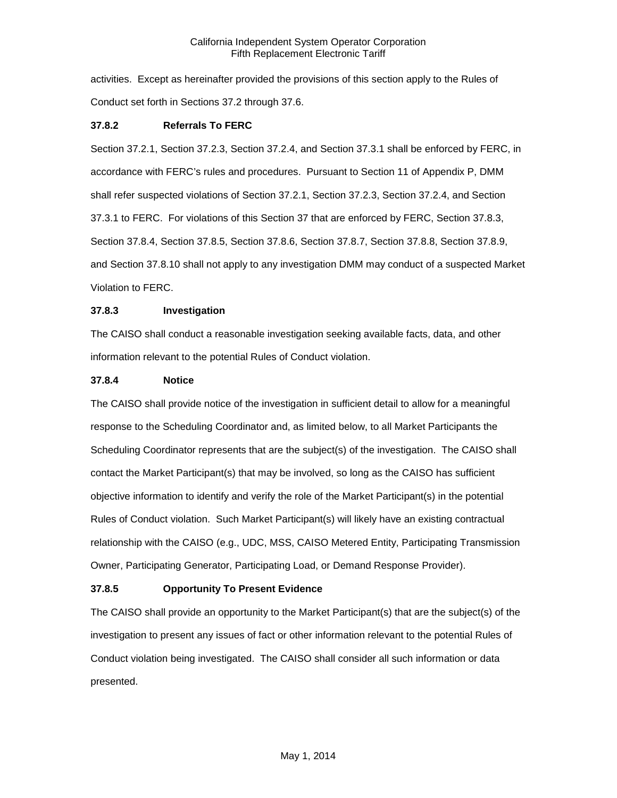activities. Except as hereinafter provided the provisions of this section apply to the Rules of Conduct set forth in Sections 37.2 through 37.6.

#### <span id="page-9-0"></span>**37.8.2 Referrals To FERC**

Section 37.2.1, Section 37.2.3, Section 37.2.4, and Section 37.3.1 shall be enforced by FERC, in accordance with FERC's rules and procedures. Pursuant to Section 11 of Appendix P, DMM shall refer suspected violations of Section 37.2.1, Section 37.2.3, Section 37.2.4, and Section 37.3.1 to FERC. For violations of this Section 37 that are enforced by FERC, Section 37.8.3, Section 37.8.4, Section 37.8.5, Section 37.8.6, Section 37.8.7, Section 37.8.8, Section 37.8.9, and Section 37.8.10 shall not apply to any investigation DMM may conduct of a suspected Market Violation to FERC.

## <span id="page-9-1"></span>**37.8.3 Investigation**

The CAISO shall conduct a reasonable investigation seeking available facts, data, and other information relevant to the potential Rules of Conduct violation.

#### <span id="page-9-2"></span>**37.8.4 Notice**

The CAISO shall provide notice of the investigation in sufficient detail to allow for a meaningful response to the Scheduling Coordinator and, as limited below, to all Market Participants the Scheduling Coordinator represents that are the subject(s) of the investigation. The CAISO shall contact the Market Participant(s) that may be involved, so long as the CAISO has sufficient objective information to identify and verify the role of the Market Participant(s) in the potential Rules of Conduct violation. Such Market Participant(s) will likely have an existing contractual relationship with the CAISO (e.g., UDC, MSS, CAISO Metered Entity, Participating Transmission Owner, Participating Generator, Participating Load, or Demand Response Provider).

#### <span id="page-9-3"></span>**37.8.5 Opportunity To Present Evidence**

The CAISO shall provide an opportunity to the Market Participant(s) that are the subject(s) of the investigation to present any issues of fact or other information relevant to the potential Rules of Conduct violation being investigated. The CAISO shall consider all such information or data presented.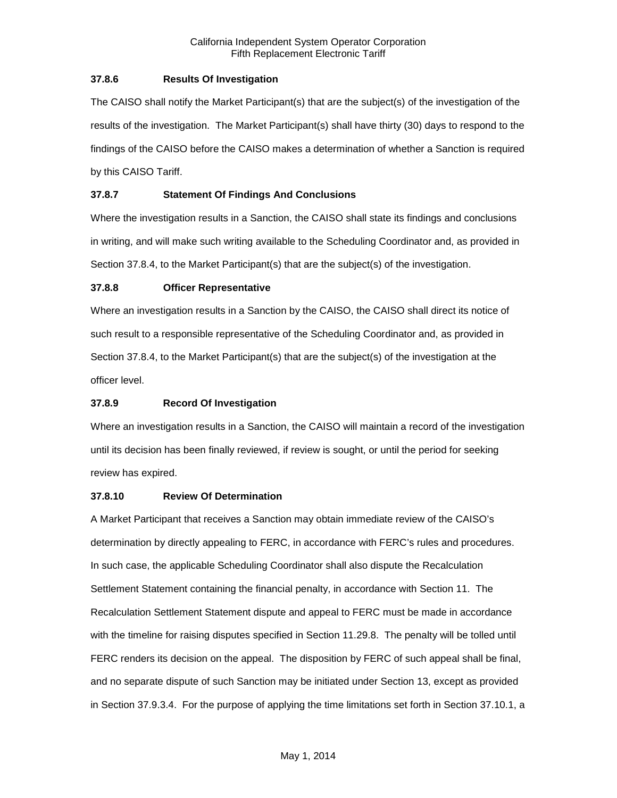## <span id="page-10-0"></span>**37.8.6 Results Of Investigation**

The CAISO shall notify the Market Participant(s) that are the subject(s) of the investigation of the results of the investigation. The Market Participant(s) shall have thirty (30) days to respond to the findings of the CAISO before the CAISO makes a determination of whether a Sanction is required by this CAISO Tariff.

# <span id="page-10-1"></span>**37.8.7 Statement Of Findings And Conclusions**

Where the investigation results in a Sanction, the CAISO shall state its findings and conclusions in writing, and will make such writing available to the Scheduling Coordinator and, as provided in Section 37.8.4, to the Market Participant(s) that are the subject(s) of the investigation.

# <span id="page-10-2"></span>**37.8.8 Officer Representative**

Where an investigation results in a Sanction by the CAISO, the CAISO shall direct its notice of such result to a responsible representative of the Scheduling Coordinator and, as provided in Section 37.8.4, to the Market Participant(s) that are the subject(s) of the investigation at the officer level.

# <span id="page-10-3"></span>**37.8.9 Record Of Investigation**

Where an investigation results in a Sanction, the CAISO will maintain a record of the investigation until its decision has been finally reviewed, if review is sought, or until the period for seeking review has expired.

# <span id="page-10-4"></span>**37.8.10 Review Of Determination**

A Market Participant that receives a Sanction may obtain immediate review of the CAISO's determination by directly appealing to FERC, in accordance with FERC's rules and procedures. In such case, the applicable Scheduling Coordinator shall also dispute the Recalculation Settlement Statement containing the financial penalty, in accordance with Section 11. The Recalculation Settlement Statement dispute and appeal to FERC must be made in accordance with the timeline for raising disputes specified in Section 11.29.8. The penalty will be tolled until FERC renders its decision on the appeal. The disposition by FERC of such appeal shall be final, and no separate dispute of such Sanction may be initiated under Section 13, except as provided in Section 37.9.3.4. For the purpose of applying the time limitations set forth in Section 37.10.1, a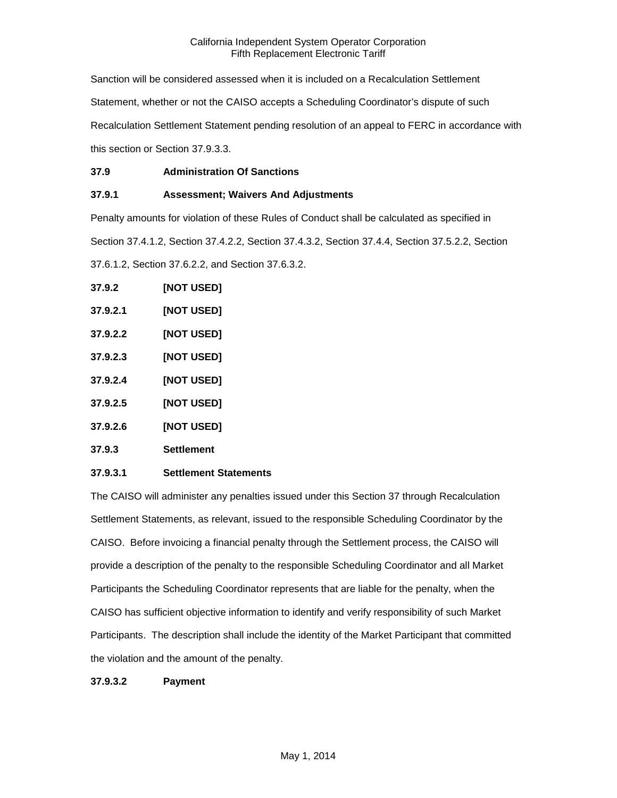Sanction will be considered assessed when it is included on a Recalculation Settlement Statement, whether or not the CAISO accepts a Scheduling Coordinator's dispute of such Recalculation Settlement Statement pending resolution of an appeal to FERC in accordance with this section or Section 37.9.3.3.

# <span id="page-11-0"></span>**37.9 Administration Of Sanctions**

# <span id="page-11-1"></span>**37.9.1 Assessment; Waivers And Adjustments**

Penalty amounts for violation of these Rules of Conduct shall be calculated as specified in

Section 37.4.1.2, Section 37.4.2.2, Section 37.4.3.2, Section 37.4.4, Section 37.5.2.2, Section

37.6.1.2, Section 37.6.2.2, and Section 37.6.3.2.

<span id="page-11-2"></span>

| 37.9.2   | [NOT USED] |
|----------|------------|
| 37.9.2.1 | [NOT USED] |
| 37.9.2.2 | [NOT USED] |
| 37.9.2.3 | [NOT USED] |
| 37.9.2.4 | [NOT USED] |
| 37.9.2.5 | [NOT USED] |
| 37.9.2.6 | [NOT USED] |
| 37.9.3   | Settlement |
|          |            |

# <span id="page-11-3"></span>**37.9.3.1 Settlement Statements**

The CAISO will administer any penalties issued under this Section 37 through Recalculation Settlement Statements, as relevant, issued to the responsible Scheduling Coordinator by the CAISO. Before invoicing a financial penalty through the Settlement process, the CAISO will provide a description of the penalty to the responsible Scheduling Coordinator and all Market Participants the Scheduling Coordinator represents that are liable for the penalty, when the CAISO has sufficient objective information to identify and verify responsibility of such Market Participants. The description shall include the identity of the Market Participant that committed the violation and the amount of the penalty.

# **37.9.3.2 Payment**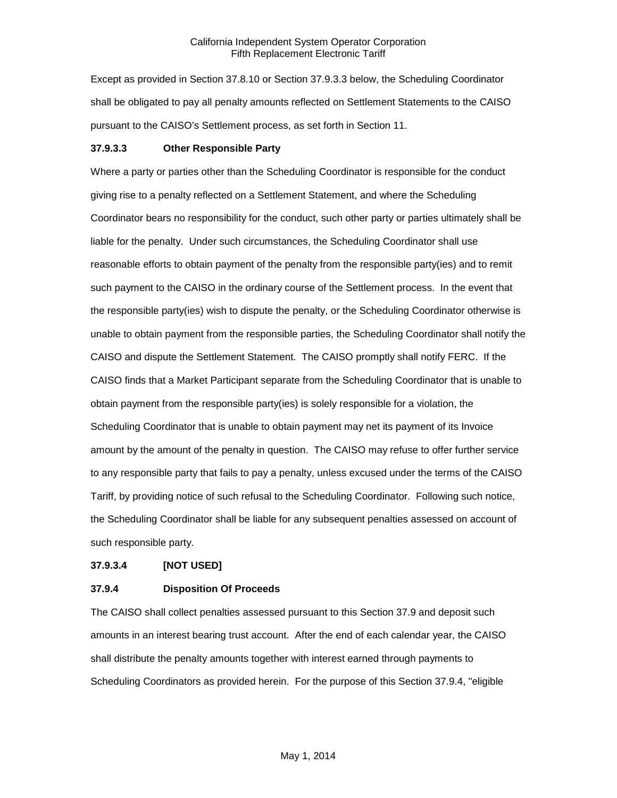Except as provided in Section 37.8.10 or Section 37.9.3.3 below, the Scheduling Coordinator shall be obligated to pay all penalty amounts reflected on Settlement Statements to the CAISO pursuant to the CAISO's Settlement process, as set forth in Section 11.

#### **37.9.3.3 Other Responsible Party**

Where a party or parties other than the Scheduling Coordinator is responsible for the conduct giving rise to a penalty reflected on a Settlement Statement, and where the Scheduling Coordinator bears no responsibility for the conduct, such other party or parties ultimately shall be liable for the penalty. Under such circumstances, the Scheduling Coordinator shall use reasonable efforts to obtain payment of the penalty from the responsible party(ies) and to remit such payment to the CAISO in the ordinary course of the Settlement process. In the event that the responsible party(ies) wish to dispute the penalty, or the Scheduling Coordinator otherwise is unable to obtain payment from the responsible parties, the Scheduling Coordinator shall notify the CAISO and dispute the Settlement Statement. The CAISO promptly shall notify FERC. If the CAISO finds that a Market Participant separate from the Scheduling Coordinator that is unable to obtain payment from the responsible party(ies) is solely responsible for a violation, the Scheduling Coordinator that is unable to obtain payment may net its payment of its Invoice amount by the amount of the penalty in question. The CAISO may refuse to offer further service to any responsible party that fails to pay a penalty, unless excused under the terms of the CAISO Tariff, by providing notice of such refusal to the Scheduling Coordinator. Following such notice, the Scheduling Coordinator shall be liable for any subsequent penalties assessed on account of such responsible party.

#### **37.9.3.4 [NOT USED]**

#### <span id="page-12-0"></span>**37.9.4 Disposition Of Proceeds**

The CAISO shall collect penalties assessed pursuant to this Section 37.9 and deposit such amounts in an interest bearing trust account. After the end of each calendar year, the CAISO shall distribute the penalty amounts together with interest earned through payments to Scheduling Coordinators as provided herein. For the purpose of this Section 37.9.4, "eligible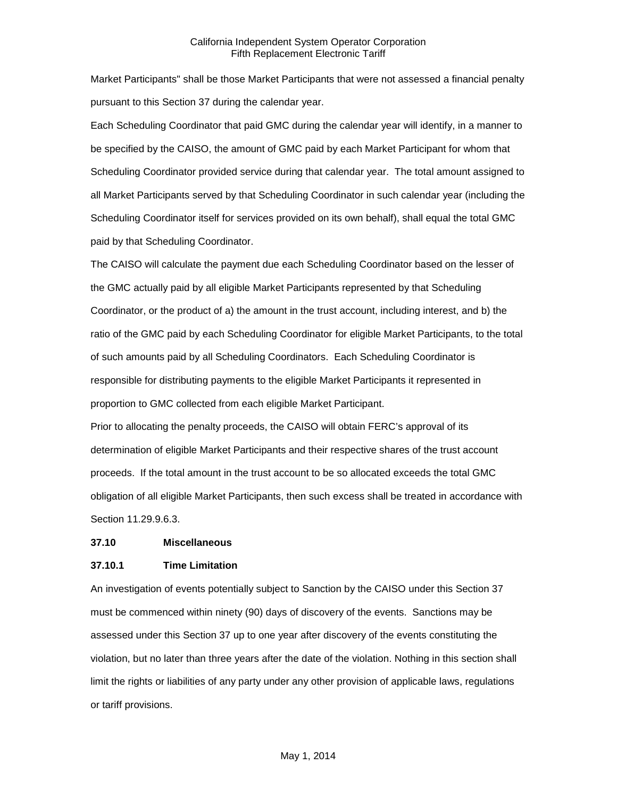Market Participants" shall be those Market Participants that were not assessed a financial penalty pursuant to this Section 37 during the calendar year.

Each Scheduling Coordinator that paid GMC during the calendar year will identify, in a manner to be specified by the CAISO, the amount of GMC paid by each Market Participant for whom that Scheduling Coordinator provided service during that calendar year. The total amount assigned to all Market Participants served by that Scheduling Coordinator in such calendar year (including the Scheduling Coordinator itself for services provided on its own behalf), shall equal the total GMC paid by that Scheduling Coordinator.

The CAISO will calculate the payment due each Scheduling Coordinator based on the lesser of the GMC actually paid by all eligible Market Participants represented by that Scheduling Coordinator, or the product of a) the amount in the trust account, including interest, and b) the ratio of the GMC paid by each Scheduling Coordinator for eligible Market Participants, to the total of such amounts paid by all Scheduling Coordinators. Each Scheduling Coordinator is responsible for distributing payments to the eligible Market Participants it represented in proportion to GMC collected from each eligible Market Participant.

Prior to allocating the penalty proceeds, the CAISO will obtain FERC's approval of its determination of eligible Market Participants and their respective shares of the trust account proceeds. If the total amount in the trust account to be so allocated exceeds the total GMC obligation of all eligible Market Participants, then such excess shall be treated in accordance with Section 11.29.9.6.3.

#### <span id="page-13-0"></span>**37.10 Miscellaneous**

#### <span id="page-13-1"></span>**37.10.1 Time Limitation**

An investigation of events potentially subject to Sanction by the CAISO under this Section 37 must be commenced within ninety (90) days of discovery of the events. Sanctions may be assessed under this Section 37 up to one year after discovery of the events constituting the violation, but no later than three years after the date of the violation. Nothing in this section shall limit the rights or liabilities of any party under any other provision of applicable laws, regulations or tariff provisions.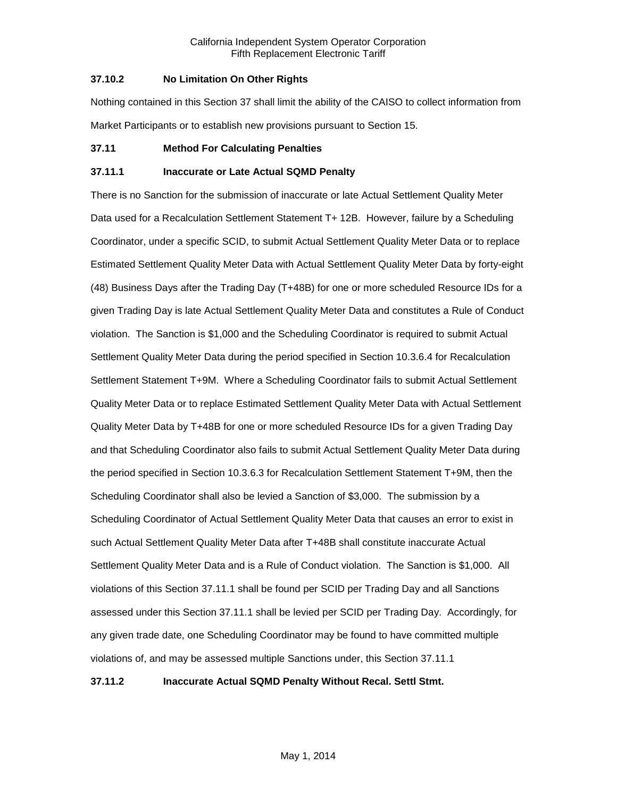## <span id="page-14-0"></span>**37.10.2 No Limitation On Other Rights**

Nothing contained in this Section 37 shall limit the ability of the CAISO to collect information from Market Participants or to establish new provisions pursuant to Section 15.

## <span id="page-14-1"></span>**37.11 Method For Calculating Penalties**

## <span id="page-14-2"></span>**37.11.1 Inaccurate or Late Actual SQMD Penalty**

There is no Sanction for the submission of inaccurate or late Actual Settlement Quality Meter Data used for a Recalculation Settlement Statement T+ 12B. However, failure by a Scheduling Coordinator, under a specific SCID, to submit Actual Settlement Quality Meter Data or to replace Estimated Settlement Quality Meter Data with Actual Settlement Quality Meter Data by forty-eight (48) Business Days after the Trading Day (T+48B) for one or more scheduled Resource IDs for a given Trading Day is late Actual Settlement Quality Meter Data and constitutes a Rule of Conduct violation. The Sanction is \$1,000 and the Scheduling Coordinator is required to submit Actual Settlement Quality Meter Data during the period specified in Section 10.3.6.4 for Recalculation Settlement Statement T+9M. Where a Scheduling Coordinator fails to submit Actual Settlement Quality Meter Data or to replace Estimated Settlement Quality Meter Data with Actual Settlement Quality Meter Data by T+48B for one or more scheduled Resource IDs for a given Trading Day and that Scheduling Coordinator also fails to submit Actual Settlement Quality Meter Data during the period specified in Section 10.3.6.3 for Recalculation Settlement Statement T+9M, then the Scheduling Coordinator shall also be levied a Sanction of \$3,000. The submission by a Scheduling Coordinator of Actual Settlement Quality Meter Data that causes an error to exist in such Actual Settlement Quality Meter Data after T+48B shall constitute inaccurate Actual Settlement Quality Meter Data and is a Rule of Conduct violation. The Sanction is \$1,000. All violations of this Section 37.11.1 shall be found per SCID per Trading Day and all Sanctions assessed under this Section 37.11.1 shall be levied per SCID per Trading Day. Accordingly, for any given trade date, one Scheduling Coordinator may be found to have committed multiple violations of, and may be assessed multiple Sanctions under, this Section 37.11.1

<span id="page-14-3"></span>**37.11.2 Inaccurate Actual SQMD Penalty Without Recal. Settl Stmt.**